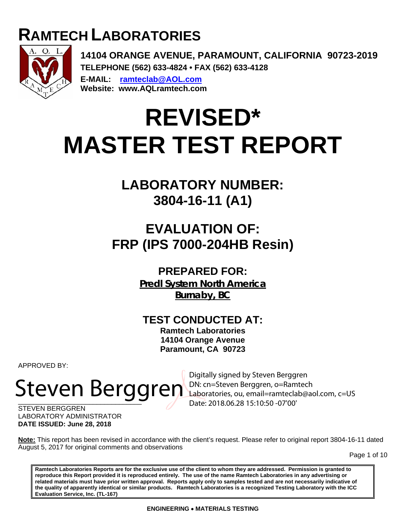## **RAMTECH LABORATORIES**



**14104 ORANGE AVENUE, PARAMOUNT, CALIFORNIA 90723-2019 TELEPHONE (562) 633-4824 • FAX (562) 633-4128 E-MAIL: ramteclab@AOL.com Website: www.AQLramtech.com** 

# **REVISED\* MASTER TEST REPORT**

## **LABORATORY NUMBER: 3804-16-11 (A1)**

## **EVALUATION OF: FRP (IPS 7000-204HB Resin)**

### **PREPARED FOR:**

**Predl System North America Burnaby, BC**

## **TEST CONDUCTED AT:**

**Ramtech Laboratories 14104 Orange Avenue Paramount, CA 90723** 

APPROVED BY:

# Steven Berggren, o=Ramtech

Digitally signed by Steven Berggren Laboratories, ou, email=ramteclab@aol.com, c=US Date: 2018.06.28 15:10:50 -07'00'

STEVEN BERGGREN LABORATORY ADMINISTRATOR **DATE ISSUED: June 28, 2018**

**Note:** This report has been revised in accordance with the client's request. Please refer to original report 3804-16-11 dated August 5, 2017 for original comments and observations

Page 1 of 10

**Ramtech Laboratories Reports are for the exclusive use of the client to whom they are addressed. Permission is granted to reproduce this Report provided it is reproduced entirely. The use of the name Ramtech Laboratories in any advertising or related materials must have prior written approval. Reports apply only to samples tested and are not necessarily indicative of the quality of apparently identical or similar products. Ramtech Laboratories is a recognized Testing Laboratory with the ICC Evaluation Service, Inc. (TL-167)**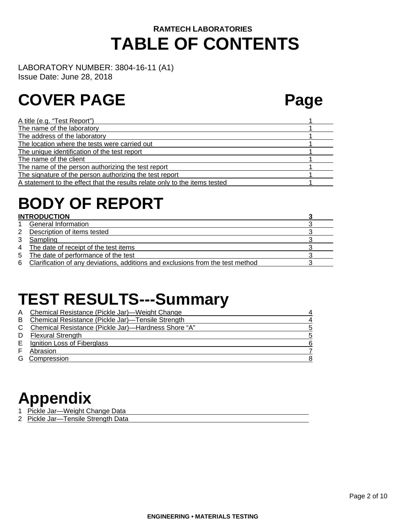## **RAMTECH LABORATORIES TABLE OF CONTENTS**

LABORATORY NUMBER: 3804-16-11 (A1)

Issue Date: June 28, 2018

## **COVER PAGE Page**

| A title (e.g. "Test Report")                                               |  |
|----------------------------------------------------------------------------|--|
| The name of the laboratory                                                 |  |
| The address of the laboratory                                              |  |
| The location where the tests were carried out                              |  |
| The unique identification of the test report                               |  |
| The name of the client                                                     |  |
| The name of the person authorizing the test report                         |  |
| The signature of the person authorizing the test report                    |  |
| A statement to the effect that the results relate only to the items tested |  |
|                                                                            |  |

## **BODY OF REPORT**

#### **INTRODUCTION 3**  1 General Information 3 2 Description of items tested 3 3 3 Sampling 3 3 Sampling 3 3 Sampling 3 3 Sampling 3 3 Sampling 3 3 Sampling 3 3 Sampling 3 3 Sampling 3 3  $\frac{1}{3}$ 4 The date of receipt of the test items 3<br>5 The date of performance of the test 3 The date of performance of the test 3 6 Clarification of any deviations, additions and exclusions from the test method 3

## **TEST RESULTS---Summary**

| A | Chemical Resistance (Pickle Jar)—Weight Change      |    |
|---|-----------------------------------------------------|----|
|   | Chemical Resistance (Pickle Jar)-Tensile Strength   | 4  |
|   | Chemical Resistance (Pickle Jar)-Hardness Shore "A" | 5  |
| D | <b>Flexural Strength</b>                            | .5 |
|   | Ignition Loss of Fiberglass                         | 6  |
|   | Abrasion                                            |    |
|   | Compression                                         | 8  |

## **Appendix**

- 1 Pickle Jar-Weight Change Data
- 2 Pickle Jar-Tensile Strength Data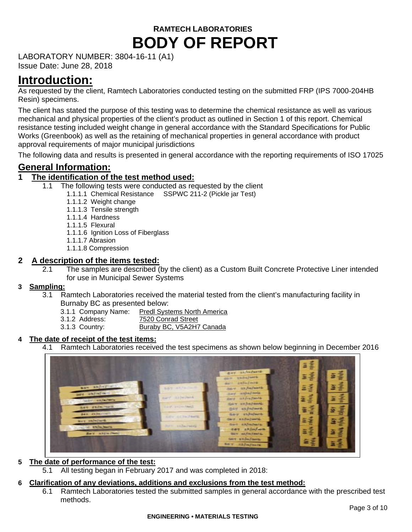LABORATORY NUMBER: 3804-16-11 (A1)

Issue Date: June 28, 2018

## **Introduction:**

As requested by the client, Ramtech Laboratories conducted testing on the submitted FRP (IPS 7000-204HB Resin) specimens.

The client has stated the purpose of this testing was to determine the chemical resistance as well as various mechanical and physical properties of the client's product as outlined in Section 1 of this report. Chemical resistance testing included weight change in general accordance with the Standard Specifications for Public Works (Greenbook) as well as the retaining of mechanical properties in general accordance with product approval requirements of major municipal jurisdictions

The following data and results is presented in general accordance with the reporting requirements of ISO 17025

#### **General Information:**

#### **1 The identification of the test method used:**

- The following tests were conducted as requested by the client
	- 1.1.1.1 Chemical Resistance SSPWC 211-2 (Pickle jar Test)
		- 1.1.1.2 Weight change
		- 1.1.1.3 Tensile strength
		- 1.1.1.4 Hardness
		- 1.1.1.5 Flexural
		- 1.1.1.6 Ignition Loss of Fiberglass
		- 1.1.1.7 Abrasion
		- 1.1.1.8 Compression

#### **2 A description of the items tested:**

2.1 The samples are described (by the client) as a Custom Built Concrete Protective Liner intended for use in Municipal Sewer Systems

#### **3 Sampling:**

- 3.1 Ramtech Laboratories received the material tested from the client's manufacturing facility in Burnaby BC as presented below:
	- 3.1.1 Company Name: Predl Systems North America<br>3.1.2 Address: 7520 Conrad Street
		- 7520 Conrad Street
	- 3.1.3 Country: Buraby BC, V5A2H7 Canada

#### **4 The date of receipt of the test items:**

4.1 Ramtech Laboratories received the test specimens as shown below beginning in December 2016



#### **5 The date of performance of the test:**

5.1 All testing began in February 2017 and was completed in 2018:

#### **6 Clarification of any deviations, additions and exclusions from the test method:**

6.1 Ramtech Laboratories tested the submitted samples in general accordance with the prescribed test methods.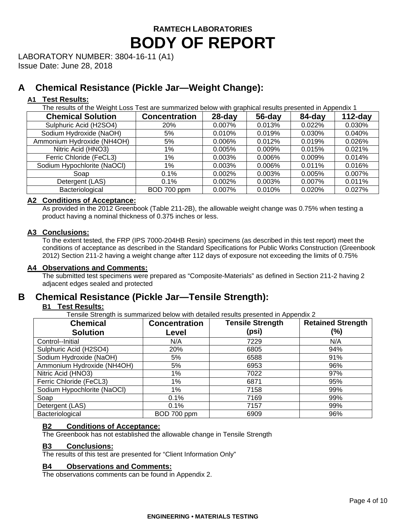LABORATORY NUMBER: 3804-16-11 (A1)

Issue Date: June 28, 2018

#### **A Chemical Resistance (Pickle Jar—Weight Change):**

#### **A1 Test Results:**

The results of the Weight Loss Test are summarized below with graphical results presented in Appendix 1

| <b>Chemical Solution</b>    | <b>Concentration</b> | $28$ -day | $56$ -day | 84-day | $112$ -day |
|-----------------------------|----------------------|-----------|-----------|--------|------------|
| Sulphuric Acid (H2SO4)      | <b>20%</b>           | 0.007%    | 0.013%    | 0.022% | 0.030%     |
| Sodium Hydroxide (NaOH)     | 5%                   | 0.010%    | 0.019%    | 0.030% | 0.040%     |
| Ammonium Hydroxide (NH4OH)  | 5%                   | 0.006%    | 0.012%    | 0.019% | 0.026%     |
| Nitric Acid (HNO3)          | $1\%$                | 0.005%    | 0.009%    | 0.015% | 0.021%     |
| Ferric Chloride (FeCL3)     | $1\%$                | 0.003%    | 0.006%    | 0.009% | 0.014%     |
| Sodium Hypochlorite (NaOCl) | $1\%$                | 0.003%    | 0.006%    | 0.011% | 0.016%     |
| Soap                        | 0.1%                 | 0.002%    | 0.003%    | 0.005% | 0.007%     |
| Detergent (LAS)             | 0.1%                 | 0.002%    | 0.003%    | 0.007% | 0.011%     |
| Bacteriological             | BOD 700 ppm          | 0.007%    | 0.010%    | 0.020% | 0.027%     |

#### **A2 Conditions of Acceptance:**

As provided in the 2012 Greenbook (Table 211-2B), the allowable weight change was 0.75% when testing a product having a nominal thickness of 0.375 inches or less.

#### **A3 Conclusions:**

To the extent tested, the FRP (IPS 7000-204HB Resin) specimens (as described in this test report) meet the conditions of acceptance as described in the Standard Specifications for Public Works Construction (Greenbook 2012) Section 211-2 having a weight change after 112 days of exposure not exceeding the limits of 0.75%

#### **A4 Observations and Comments:**

The submitted test specimens were prepared as "Composite-Materials" as defined in Section 211-2 having 2 adjacent edges sealed and protected

#### **B Chemical Resistance (Pickle Jar—Tensile Strength):**

#### **B1 Test Results:**

Tensile Strength is summarized below with detailed results presented in Appendix 2

| <b>Chemical</b>             | <b>Concentration</b> | <b>Tensile Strength</b> | <b>Retained Strength</b> |
|-----------------------------|----------------------|-------------------------|--------------------------|
| <b>Solution</b>             | Level                | (psi)                   | (%)                      |
| Control--Initial            | N/A                  | 7229                    | N/A                      |
| Sulphuric Acid (H2SO4)      | 20%                  | 6805                    | 94%                      |
| Sodium Hydroxide (NaOH)     | 5%                   | 6588                    | 91%                      |
| Ammonium Hydroxide (NH4OH)  | 5%                   | 6953                    | 96%                      |
| Nitric Acid (HNO3)          | 1%                   | 7022                    | 97%                      |
| Ferric Chloride (FeCL3)     | 1%                   | 6871                    | 95%                      |
| Sodium Hypochlorite (NaOCl) | 1%                   | 7158                    | 99%                      |
| Soap                        | 0.1%                 | 7169                    | 99%                      |
| Detergent (LAS)             | 0.1%                 | 7157                    | 99%                      |
| Bacteriological             | BOD 700 ppm          | 6909                    | 96%                      |

#### **B2 Conditions of Acceptance:**

The Greenbook has not established the allowable change in Tensile Strength

#### **B3 Conclusions:**

The results of this test are presented for "Client Information Only"

#### **B4 Observations and Comments:**

The observations comments can be found in Appendix 2.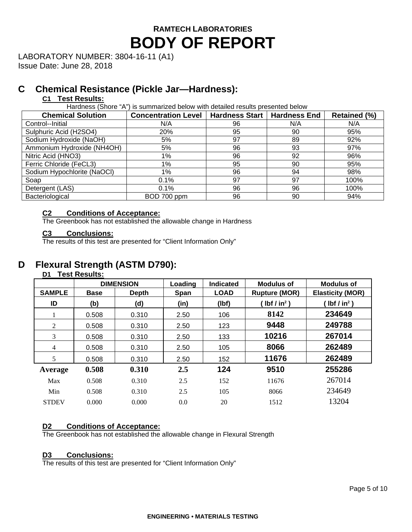LABORATORY NUMBER: 3804-16-11 (A1)

Issue Date: June 28, 2018

#### **C Chemical Resistance (Pickle Jar—Hardness):**

#### **C1 Test Results:**

Hardness (Shore "A") is summarized below with detailed results presented below

| <b>Chemical Solution</b>    | <b>Concentration Level</b> | Hardness Start | <b>Hardness End</b> | <b>Retained (%)</b> |
|-----------------------------|----------------------------|----------------|---------------------|---------------------|
| Control--Initial            | N/A                        | 96             | N/A                 | N/A                 |
| Sulphuric Acid (H2SO4)      | 20%                        | 95             | 90                  | 95%                 |
| Sodium Hydroxide (NaOH)     | 5%                         | 97             | 89                  | 92%                 |
| Ammonium Hydroxide (NH4OH)  | 5%                         | 96             | 93                  | 97%                 |
| Nitric Acid (HNO3)          | $1\%$                      | 96             | 92                  | 96%                 |
| Ferric Chloride (FeCL3)     | $1\%$                      | 95             | 90                  | 95%                 |
| Sodium Hypochlorite (NaOCI) | 1%                         | 96             | 94                  | 98%                 |
| Soap                        | 0.1%                       | 97             | 97                  | 100%                |
| Detergent (LAS)             | 0.1%                       | 96             | 96                  | 100%                |
| Bacteriological             | BOD 700 ppm                | 96             | 90                  | 94%                 |

#### **C2 Conditions of Acceptance:**

The Greenbook has not established the allowable change in Hardness

#### **C3 Conclusions:**

The results of this test are presented for "Client Information Only"

#### **D Flexural Strength (ASTM D790):**

#### **D1 Test Results:**

|                | <b>DIMENSION</b>            |       | Loading | Indicated   | Modulus of           | Modulus of              |
|----------------|-----------------------------|-------|---------|-------------|----------------------|-------------------------|
| <b>SAMPLE</b>  | <b>Base</b><br><b>Depth</b> |       | Span    | <b>LOAD</b> | <b>Rupture (MOR)</b> | <b>Elasticity (MOR)</b> |
| ID             | (b)                         | (d)   | (in)    | (lbf)       | $Ibf / in2$ )        | $Ibf / in2$ )           |
| 1              | 0.508                       | 0.310 | 2.50    | 106         | 8142                 | 234649                  |
| 2              | 0.508                       | 0.310 | 2.50    | 123         | 9448                 | 249788                  |
| 3              | 0.508                       | 0.310 | 2.50    | 133         | 10216                | 267014                  |
| $\overline{4}$ | 0.508                       | 0.310 | 2.50    | 105         | 8066                 | 262489                  |
| 5              | 0.508                       | 0.310 | 2.50    | 152         | 11676                | 262489                  |
| Average        | 0.508                       | 0.310 | 2.5     | 124         | 9510                 | 255286                  |
| Max            | 0.508                       | 0.310 | 2.5     | 152         | 11676                | 267014                  |
| Min            | 0.508                       | 0.310 | 2.5     | 105         | 8066                 | 234649                  |
| <b>STDEV</b>   | 0.000                       | 0.000 | 0.0     | 20          | 1512                 | 13204                   |

#### **D2 Conditions of Acceptance:**

The Greenbook has not established the allowable change in Flexural Strength

#### **D3 Conclusions:**

The results of this test are presented for "Client Information Only"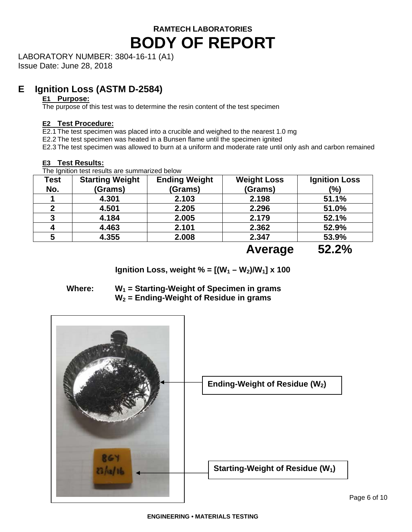LABORATORY NUMBER: 3804-16-11 (A1)

Issue Date: June 28, 2018

#### **E Ignition Loss (ASTM D-2584)**

#### **E1 Purpose:**

The purpose of this test was to determine the resin content of the test specimen

#### **E2 Test Procedure:**

E2.1 The test specimen was placed into a crucible and weighed to the nearest 1.0 mg

E2.2 The test specimen was heated in a Bunsen flame until the specimen ignited

E2.3 The test specimen was allowed to burn at a uniform and moderate rate until only ash and carbon remained

The Ignition test results are summarized below

| Test | <b>Starting Weight</b> | <b>Ending Weight</b> | <b>Weight Loss</b> | <b>Ignition Loss</b> |
|------|------------------------|----------------------|--------------------|----------------------|
| No.  | (Grams)                | (Grams)              | (Grams)            | (%)                  |
|      | 4.301                  | 2.103                | 2.198              | 51.1%                |
|      | 4.501                  | 2.205                | 2.296              | 51.0%                |
| 3    | 4.184                  | 2.005                | 2.179              | 52.1%                |
|      | 4.463                  | 2.101                | 2.362              | 52.9%                |
|      | 4.355                  | 2.008                | 2.347              | 53.9%                |
|      |                        |                      | $\Lambda$          | EJ 70/               |

 **Average 52.2%** 

**Ignition Loss, weight % =**  $[(W_1 - W_2)/W_1]$  **x 100** 

| Where: | $W_1$ = Starting-Weight of Specimen in grams |
|--------|----------------------------------------------|
|        | $W_2$ = Ending-Weight of Residue in grams    |

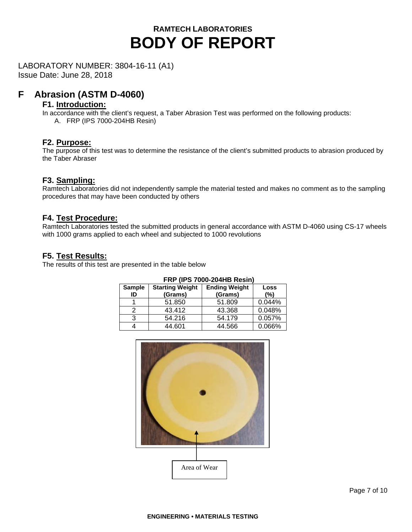LABORATORY NUMBER: 3804-16-11 (A1)

Issue Date: June 28, 2018

#### **F Abrasion (ASTM D-4060)**

#### **F1. Introduction:**

In accordance with the client's request, a Taber Abrasion Test was performed on the following products: A. FRP (IPS 7000-204HB Resin)

#### **F2. Purpose:**

The purpose of this test was to determine the resistance of the client's submitted products to abrasion produced by the Taber Abraser

#### **F3. Sampling:**

Ramtech Laboratories did not independently sample the material tested and makes no comment as to the sampling procedures that may have been conducted by others

#### **F4. Test Procedure:**

Ramtech Laboratories tested the submitted products in general accordance with ASTM D-4060 using CS-17 wheels with 1000 grams applied to each wheel and subjected to 1000 revolutions

#### **F5. Test Results:**

The results of this test are presented in the table below

| <b>Starting Weight</b><br><b>Sample</b><br>(Grams)<br>ID |        | <b>Ending Weight</b><br>(Grams) | Loss<br>$(\% )$ |
|----------------------------------------------------------|--------|---------------------------------|-----------------|
|                                                          | 51.850 | 51.809                          | 0.044%          |
| 2                                                        | 43.412 | 43.368                          | 0.048%          |
| 3                                                        | 54.216 | 54.179                          | 0.057%          |
| 4                                                        | 44.601 | 44.566                          | 0.066%          |

### **FRP (IPS 7000-204HB Resin)**

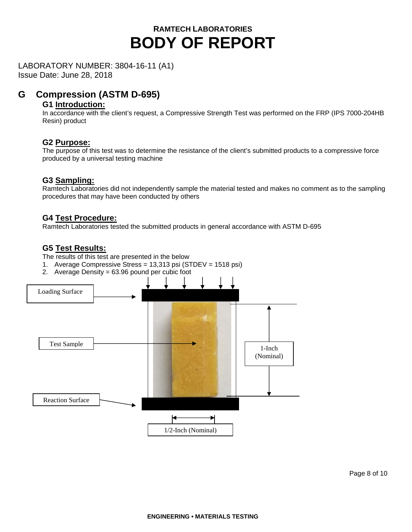LABORATORY NUMBER: 3804-16-11 (A1)

Issue Date: June 28, 2018

#### **G Compression (ASTM D-695)**

#### **G1 Introduction:**

In accordance with the client's request, a Compressive Strength Test was performed on the FRP (IPS 7000-204HB Resin) product

#### **G2 Purpose:**

The purpose of this test was to determine the resistance of the client's submitted products to a compressive force produced by a universal testing machine

#### **G3 Sampling:**

Ramtech Laboratories did not independently sample the material tested and makes no comment as to the sampling procedures that may have been conducted by others

#### **G4 Test Procedure:**

Ramtech Laboratories tested the submitted products in general accordance with ASTM D-695

#### **G5 Test Results:**

The results of this test are presented in the below

- 1. Average Compressive Stress = 13,313 psi (STDEV = 1518 psi)
- 2. Average Density = 63.96 pound per cubic foot

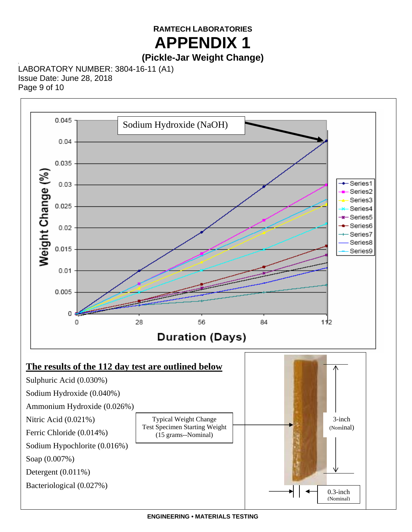#### **RAMTECH LABORATORIES APPENDIX 1**

### **(Pickle-Jar Weight Change)**

LABORATORY NUMBER: 3804-16-11 (A1) Issue Date: June 28, 2018 Page 9 of 10